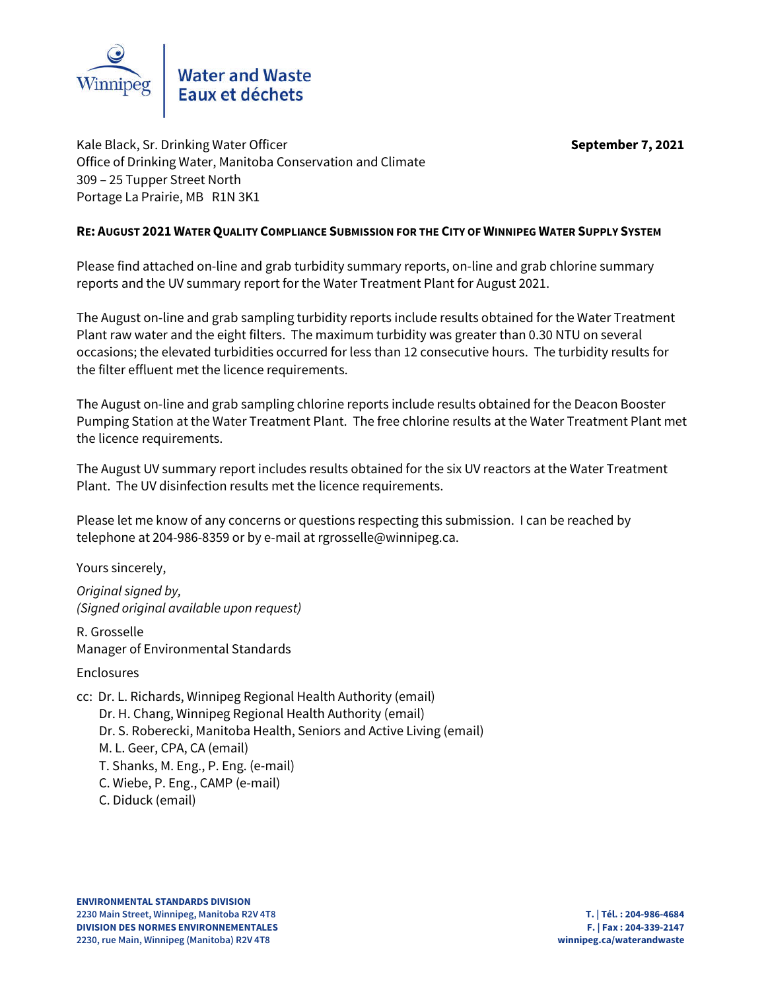

Kale Black, Sr. Drinking Water Officer **September 7, 2021** Office of Drinking Water, Manitoba Conservation and Climate 309 – 25 Tupper Street North Portage La Prairie, MB R1N 3K1

# **RE: AUGUST 2021 WATER QUALITY COMPLIANCE SUBMISSION FOR THE CITY OF WINNIPEG WATER SUPPLY SYSTEM**

Please find attached on-line and grab turbidity summary reports, on-line and grab chlorine summary reports and the UV summary report for the Water Treatment Plant for August 2021.

The August on-line and grab sampling turbidity reports include results obtained for the Water Treatment Plant raw water and the eight filters. The maximum turbidity was greater than 0.30 NTU on several occasions; the elevated turbidities occurred for less than 12 consecutive hours. The turbidity results for the filter effluent met the licence requirements.

The August on-line and grab sampling chlorine reports include results obtained for the Deacon Booster Pumping Station at the Water Treatment Plant. The free chlorine results at the Water Treatment Plant met the licence requirements.

The August UV summary report includes results obtained for the six UV reactors at the Water Treatment Plant. The UV disinfection results met the licence requirements.

Please let me know of any concerns or questions respecting this submission. I can be reached by telephone at 204-986-8359 or by e-mail at rgrosselle@winnipeg.ca.

Yours sincerely,

*Original signed by, (Signed original available upon request)*

R. Grosselle Manager of Environmental Standards

Enclosures

cc: Dr. L. Richards, Winnipeg Regional Health Authority (email) Dr. H. Chang, Winnipeg Regional Health Authority (email) Dr. S. Roberecki, Manitoba Health, Seniors and Active Living (email) M. L. Geer, CPA, CA (email) T. Shanks, M. Eng., P. Eng. (e-mail) C. Wiebe, P. Eng., CAMP (e-mail) C. Diduck (email)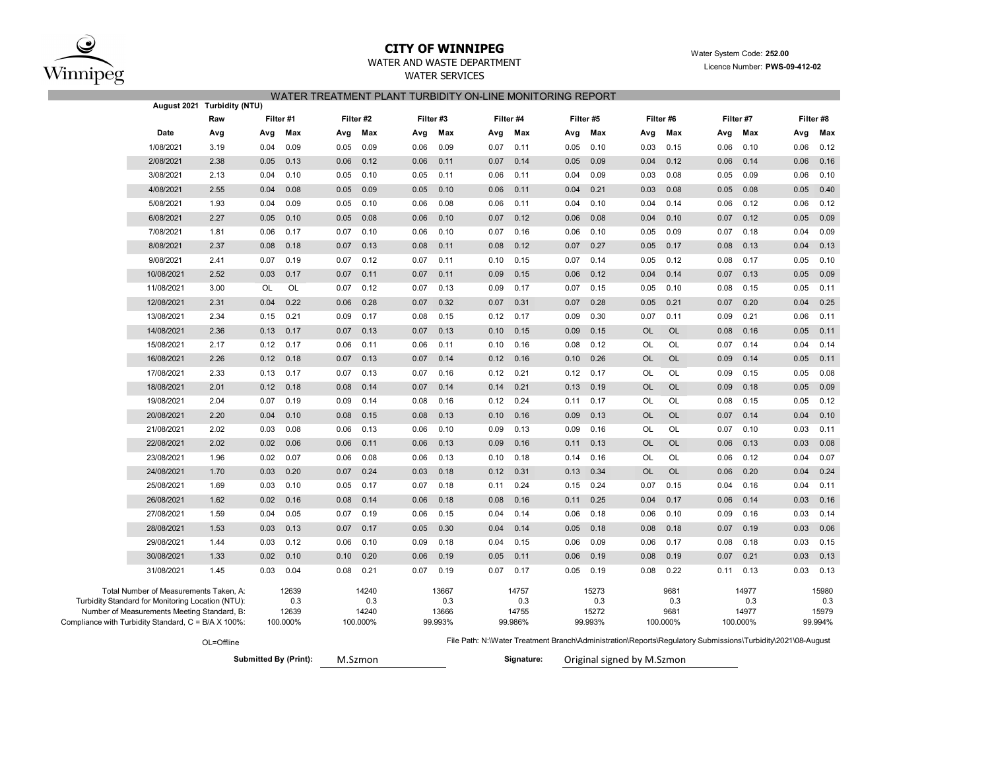

# **CITY OF WINNIPEG** WATER WATER WATER System Code: 252.00

### WATER AND WASTE DEPARTMENT **Example 2014** Licence Number: **PWS-09-412-02**

WATER SERVICES

|--|

|                                                                                             |                                                                                                    | August 2021 Turbidity (NTU) |           |                   |      |                   |      |                  |      |                  |      |                  |                            |                  |                                                                                                             |                   |      |                  |
|---------------------------------------------------------------------------------------------|----------------------------------------------------------------------------------------------------|-----------------------------|-----------|-------------------|------|-------------------|------|------------------|------|------------------|------|------------------|----------------------------|------------------|-------------------------------------------------------------------------------------------------------------|-------------------|------|------------------|
|                                                                                             |                                                                                                    | Raw                         | Filter #1 |                   |      | Filter #2         |      | Filter #3        |      | Filter #4        |      | Filter #5        | Filter #6                  |                  |                                                                                                             | Filter #7         |      | Filter #8        |
|                                                                                             | Date                                                                                               | Avg                         | Avg       | Max               | Avg  | Max               | Avg  | Max              | Avg  | Max              | Avg  | Max              | Avg                        | Max              | Avg                                                                                                         | Max               | Avg  | Max              |
|                                                                                             | 1/08/2021                                                                                          | 3.19                        | 0.04      | 0.09              | 0.05 | 0.09              | 0.06 | 0.09             | 0.07 | 0.11             | 0.05 | 0.10             | 0.03                       | 0.15             | 0.06                                                                                                        | 0.10              | 0.06 | 0.12             |
|                                                                                             | 2/08/2021                                                                                          | 2.38                        | 0.05      | 0.13              | 0.06 | 0.12              | 0.06 | 0.11             | 0.07 | 0.14             | 0.05 | 0.09             | 0.04                       | 0.12             | 0.06                                                                                                        | 0.14              | 0.06 | 0.16             |
|                                                                                             | 3/08/2021                                                                                          | 2.13                        | 0.04      | 0.10              | 0.05 | 0.10              | 0.05 | 0.11             | 0.06 | 0.11             | 0.04 | 0.09             | 0.03                       | 0.08             | 0.05                                                                                                        | 0.09              | 0.06 | 0.10             |
|                                                                                             | 4/08/2021                                                                                          | 2.55                        | 0.04      | 0.08              | 0.05 | 0.09              | 0.05 | 0.10             | 0.06 | 0.11             | 0.04 | 0.21             | 0.03                       | 0.08             | 0.05                                                                                                        | 0.08              | 0.05 | 0.40             |
|                                                                                             | 5/08/2021                                                                                          | 1.93                        | 0.04      | 0.09              | 0.05 | 0.10              | 0.06 | 0.08             | 0.06 | 0.11             | 0.04 | 0.10             | 0.04                       | 0.14             | 0.06                                                                                                        | 0.12              | 0.06 | 0.12             |
|                                                                                             | 6/08/2021                                                                                          | 2.27                        | 0.05      | 0.10              | 0.05 | 0.08              | 0.06 | 0.10             | 0.07 | 0.12             | 0.06 | 0.08             | 0.04                       | 0.10             | 0.07                                                                                                        | 0.12              | 0.05 | 0.09             |
|                                                                                             | 7/08/2021                                                                                          | 1.81                        | 0.06      | 0.17              | 0.07 | 0.10              | 0.06 | 0.10             | 0.07 | 0.16             | 0.06 | 0.10             | 0.05                       | 0.09             | 0.07                                                                                                        | 0.18              | 0.04 | 0.09             |
|                                                                                             | 8/08/2021                                                                                          | 2.37                        | 0.08      | 0.18              | 0.07 | 0.13              | 0.08 | 0.11             | 0.08 | 0.12             | 0.07 | 0.27             | 0.05                       | 0.17             | 0.08                                                                                                        | 0.13              | 0.04 | 0.13             |
|                                                                                             | 9/08/2021                                                                                          | 2.41                        | 0.07      | 0.19              | 0.07 | 0.12              | 0.07 | 0.11             | 0.10 | 0.15             | 0.07 | 0.14             | 0.05                       | 0.12             | 0.08                                                                                                        | 0.17              | 0.05 | 0.10             |
|                                                                                             | 10/08/2021                                                                                         | 2.52                        | 0.03      | 0.17              | 0.07 | 0.11              | 0.07 | 0.11             | 0.09 | 0.15             | 0.06 | 0.12             | 0.04                       | 0.14             | 0.07                                                                                                        | 0.13              | 0.05 | 0.09             |
|                                                                                             | 11/08/2021                                                                                         | 3.00                        | OL        | OL                | 0.07 | 0.12              | 0.07 | 0.13             | 0.09 | 0.17             | 0.07 | 0.15             | 0.05                       | 0.10             | 0.08                                                                                                        | 0.15              | 0.05 | 0.11             |
|                                                                                             | 12/08/2021                                                                                         | 2.31                        | 0.04      | 0.22              | 0.06 | 0.28              | 0.07 | 0.32             | 0.07 | 0.31             | 0.07 | 0.28             | 0.05                       | 0.21             | 0.07                                                                                                        | 0.20              | 0.04 | 0.25             |
|                                                                                             | 13/08/2021                                                                                         | 2.34                        | 0.15      | 0.21              | 0.09 | 0.17              | 0.08 | 0.15             | 0.12 | 0.17             | 0.09 | 0.30             | 0.07                       | 0.11             | 0.09                                                                                                        | 0.21              | 0.06 | 0.11             |
|                                                                                             | 14/08/2021                                                                                         | 2.36                        | 0.13      | 0.17              | 0.07 | 0.13              | 0.07 | 0.13             | 0.10 | 0.15             | 0.09 | 0.15             | <b>OL</b>                  | <b>OL</b>        | 0.08                                                                                                        | 0.16              | 0.05 | 0.11             |
|                                                                                             | 15/08/2021                                                                                         | 2.17                        | 0.12      | 0.17              | 0.06 | 0.11              | 0.06 | 0.11             | 0.10 | 0.16             | 0.08 | 0.12             | OL                         | OL               | 0.07                                                                                                        | 0.14              | 0.04 | 0.14             |
|                                                                                             | 16/08/2021                                                                                         | 2.26                        | 0.12      | 0.18              | 0.07 | 0.13              | 0.07 | 0.14             | 0.12 | 0.16             | 0.10 | 0.26             | OL                         | <b>OL</b>        | 0.09                                                                                                        | 0.14              | 0.05 | 0.11             |
|                                                                                             | 17/08/2021                                                                                         | 2.33                        | 0.13      | 0.17              | 0.07 | 0.13              | 0.07 | 0.16             | 0.12 | 0.21             | 0.12 | 0.17             | OL                         | OL               | 0.09                                                                                                        | 0.15              | 0.05 | 0.08             |
|                                                                                             | 18/08/2021                                                                                         | 2.01                        | 0.12      | 0.18              | 0.08 | 0.14              | 0.07 | 0.14             | 0.14 | 0.21             | 0.13 | 0.19             | <b>OL</b>                  | <b>OL</b>        | 0.09                                                                                                        | 0.18              | 0.05 | 0.09             |
|                                                                                             | 19/08/2021                                                                                         | 2.04                        | 0.07      | 0.19              | 0.09 | 0.14              | 0.08 | 0.16             | 0.12 | 0.24             | 0.11 | 0.17             | OL                         | OL               | 0.08                                                                                                        | 0.15              | 0.05 | 0.12             |
|                                                                                             | 20/08/2021                                                                                         | 2.20                        | 0.04      | 0.10              | 0.08 | 0.15              | 0.08 | 0.13             | 0.10 | 0.16             | 0.09 | 0.13             | OL                         | <b>OL</b>        | 0.07                                                                                                        | 0.14              | 0.04 | 0.10             |
|                                                                                             | 21/08/2021                                                                                         | 2.02                        | 0.03      | 0.08              | 0.06 | 0.13              | 0.06 | 0.10             | 0.09 | 0.13             | 0.09 | 0.16             | OL                         | OL               | 0.07                                                                                                        | 0.10              | 0.03 | 0.11             |
|                                                                                             | 22/08/2021                                                                                         | 2.02                        | 0.02      | 0.06              | 0.06 | 0.11              | 0.06 | 0.13             | 0.09 | 0.16             | 0.11 | 0.13             | <b>OL</b>                  | <b>OL</b>        | 0.06                                                                                                        | 0.13              | 0.03 | 0.08             |
|                                                                                             | 23/08/2021                                                                                         | 1.96                        | 0.02      | 0.07              | 0.06 | 0.08              | 0.06 | 0.13             | 0.10 | 0.18             | 0.14 | 0.16             | OL                         | OL               | 0.06                                                                                                        | 0.12              | 0.04 | 0.07             |
|                                                                                             | 24/08/2021                                                                                         | 1.70                        | 0.03      | 0.20              | 0.07 | 0.24              | 0.03 | 0.18             | 0.12 | 0.31             | 0.13 | 0.34             | <b>OL</b>                  | <b>OL</b>        | 0.06                                                                                                        | 0.20              | 0.04 | 0.24             |
|                                                                                             | 25/08/2021                                                                                         | 1.69                        | 0.03      | 0.10              | 0.05 | 0.17              | 0.07 | 0.18             | 0.11 | 0.24             | 0.15 | 0.24             | 0.07                       | 0.15             | 0.04                                                                                                        | 0.16              | 0.04 | 0.11             |
|                                                                                             | 26/08/2021                                                                                         | 1.62                        | 0.02      | 0.16              | 0.08 | 0.14              | 0.06 | 0.18             | 0.08 | 0.16             | 0.11 | 0.25             | 0.04                       | 0.17             | 0.06                                                                                                        | 0.14              | 0.03 | 0.16             |
|                                                                                             | 27/08/2021                                                                                         | 1.59                        | 0.04      | 0.05              | 0.07 | 0.19              | 0.06 | 0.15             | 0.04 | 0.14             | 0.06 | 0.18             | 0.06                       | 0.10             | 0.09                                                                                                        | 0.16              | 0.03 | 0.14             |
|                                                                                             | 28/08/2021                                                                                         | 1.53                        | 0.03      | 0.13              | 0.07 | 0.17              | 0.05 | 0.30             | 0.04 | 0.14             | 0.05 | 0.18             | 0.08                       | 0.18             | 0.07                                                                                                        | 0.19              | 0.03 | 0.06             |
|                                                                                             | 29/08/2021                                                                                         | 1.44                        | 0.03      | 0.12              | 0.06 | 0.10              | 0.09 | 0.18             | 0.04 | 0.15             | 0.06 | 0.09             | 0.06                       | 0.17             | 0.08                                                                                                        | 0.18              | 0.03 | 0.15             |
|                                                                                             | 30/08/2021                                                                                         | 1.33                        | 0.02      | 0.10              | 0.10 | 0.20              | 0.06 | 0.19             | 0.05 | 0.11             | 0.06 | 0.19             | 0.08                       | 0.19             | 0.07                                                                                                        | 0.21              | 0.03 | 0.13             |
|                                                                                             | 31/08/2021                                                                                         | 1.45                        | 0.03      | 0.04              | 0.08 | 0.21              | 0.07 | 0.19             | 0.07 | 0.17             | 0.05 | 0.19             | 0.08                       | 0.22             | 0.11                                                                                                        | 0.13              | 0.03 | 0.13             |
| Total Number of Measurements Taken, A:<br>Turbidity Standard for Monitoring Location (NTU): |                                                                                                    |                             |           | 12639<br>0.3      |      | 14240<br>0.3      |      | 13667<br>0.3     |      | 14757<br>0.3     |      | 15273<br>0.3     |                            | 9681<br>0.3      |                                                                                                             | 14977<br>0.3      |      | 15980<br>0.3     |
|                                                                                             | Number of Measurements Meeting Standard, B:<br>Compliance with Turbidity Standard, C = B/A X 100%: |                             |           | 12639<br>100.000% |      | 14240<br>100.000% |      | 13666<br>99.993% |      | 14755<br>99.986% |      | 15272<br>99.993% |                            | 9681<br>100.000% |                                                                                                             | 14977<br>100.000% |      | 15979<br>99.994% |
|                                                                                             |                                                                                                    | OL=Offline                  |           |                   |      |                   |      |                  |      |                  |      |                  |                            |                  | File Path: N:\Water Treatment Branch\Administration\Reports\Regulatory Submissions\Turbidity\2021\08-August |                   |      |                  |
| <b>Submitted By (Print):</b>                                                                |                                                                                                    |                             |           |                   |      | M.Szmon           |      |                  |      | Signature:       |      |                  | Original signed by M.Szmon |                  |                                                                                                             |                   |      |                  |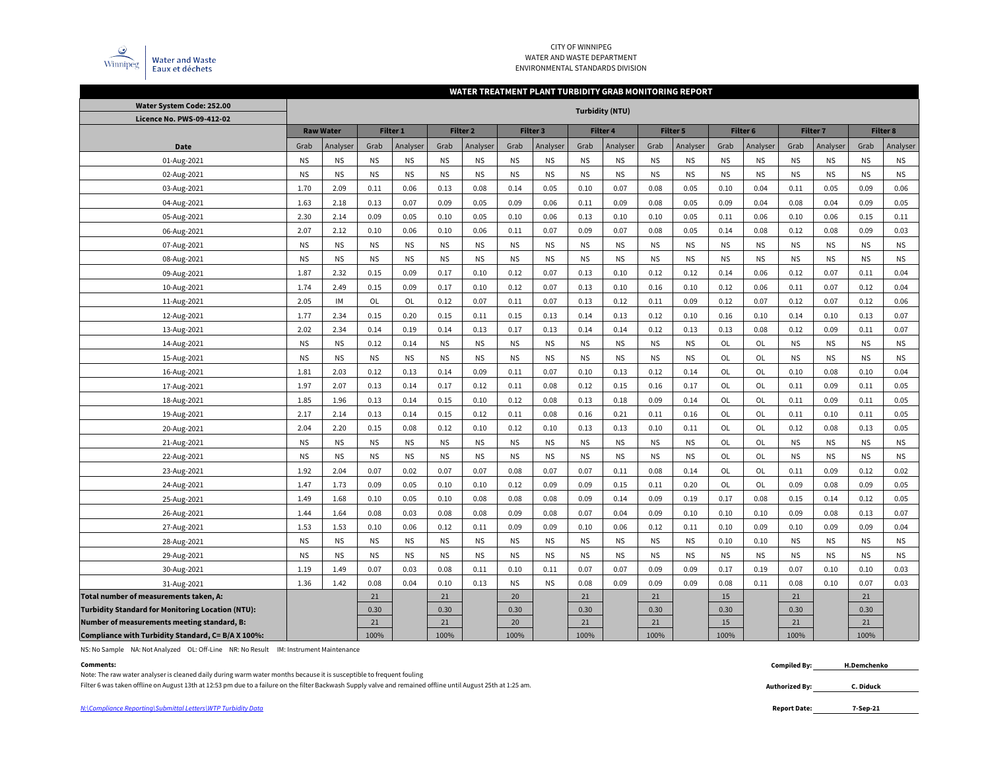

### CITY OF WINNIPEG WATER AND WASTE DEPARTMENT ENVIRONMENTAL STANDARDS DIVISION

### **WATER TREATMENT PLANT TURBIDITY GRAB MONITORING REPORT**

| Water System Code: 252.00                                |           |                  |           |           |           |           |           |           |           | Turbidity (NTU) |           |                 |           |           |           |           |                 |           |
|----------------------------------------------------------|-----------|------------------|-----------|-----------|-----------|-----------|-----------|-----------|-----------|-----------------|-----------|-----------------|-----------|-----------|-----------|-----------|-----------------|-----------|
| Licence No. PWS-09-412-02                                |           |                  |           |           |           |           |           |           |           |                 |           |                 |           |           |           |           |                 |           |
|                                                          |           | <b>Raw Water</b> |           | Filter 1  |           | Filter 2  |           | Filter 3  |           | <b>Filter 4</b> |           | <b>Filter 5</b> | Filter 6  |           | Filter 7  |           | <b>Filter 8</b> |           |
| Date                                                     | Grab      | Analyser         | Grab      | Analyser  | Grab      | Analyser  | Grab      | Analyser  | Grab      | Analyser        | Grab      | Analyser        | Grab      | Analyser  | Grab      | Analyser  | Grab            | Analyser  |
| 01-Aug-2021                                              | <b>NS</b> | <b>NS</b>        | <b>NS</b> | <b>NS</b> | <b>NS</b> | <b>NS</b> | <b>NS</b> | <b>NS</b> | <b>NS</b> | <b>NS</b>       | <b>NS</b> | <b>NS</b>       | <b>NS</b> | <b>NS</b> | <b>NS</b> | <b>NS</b> | <b>NS</b>       | <b>NS</b> |
| 02-Aug-2021                                              | <b>NS</b> | <b>NS</b>        | <b>NS</b> | <b>NS</b> | <b>NS</b> | <b>NS</b> | <b>NS</b> | <b>NS</b> | <b>NS</b> | <b>NS</b>       | <b>NS</b> | <b>NS</b>       | <b>NS</b> | <b>NS</b> | <b>NS</b> | <b>NS</b> | <b>NS</b>       | NS        |
| 03-Aug-2021                                              | 1.70      | 2.09             | 0.11      | 0.06      | 0.13      | 0.08      | 0.14      | 0.05      | 0.10      | 0.07            | 0.08      | 0.05            | 0.10      | 0.04      | 0.11      | 0.05      | 0.09            | 0.06      |
| 04-Aug-2021                                              | 1.63      | 2.18             | 0.13      | 0.07      | 0.09      | 0.05      | 0.09      | 0.06      | 0.11      | 0.09            | 0.08      | 0.05            | 0.09      | 0.04      | 0.08      | 0.04      | 0.09            | 0.05      |
| 05-Aug-2021                                              | 2.30      | 2.14             | 0.09      | 0.05      | 0.10      | 0.05      | 0.10      | 0.06      | 0.13      | 0.10            | 0.10      | 0.05            | 0.11      | 0.06      | 0.10      | 0.06      | 0.15            | 0.11      |
| 06-Aug-2021                                              | 2.07      | 2.12             | 0.10      | 0.06      | 0.10      | 0.06      | 0.11      | 0.07      | 0.09      | 0.07            | 0.08      | 0.05            | 0.14      | 0.08      | 0.12      | 0.08      | 0.09            | 0.03      |
| 07-Aug-2021                                              | <b>NS</b> | <b>NS</b>        | <b>NS</b> | <b>NS</b> | <b>NS</b> | <b>NS</b> | <b>NS</b> | <b>NS</b> | <b>NS</b> | <b>NS</b>       | <b>NS</b> | <b>NS</b>       | <b>NS</b> | <b>NS</b> | <b>NS</b> | <b>NS</b> | <b>NS</b>       | NS        |
| 08-Aug-2021                                              | <b>NS</b> | <b>NS</b>        | <b>NS</b> | <b>NS</b> | <b>NS</b> | <b>NS</b> | <b>NS</b> | <b>NS</b> | <b>NS</b> | <b>NS</b>       | <b>NS</b> | <b>NS</b>       | <b>NS</b> | <b>NS</b> | <b>NS</b> | <b>NS</b> | <b>NS</b>       | <b>NS</b> |
| 09-Aug-2021                                              | 1.87      | 2.32             | 0.15      | 0.09      | 0.17      | 0.10      | 0.12      | 0.07      | 0.13      | 0.10            | 0.12      | 0.12            | 0.14      | 0.06      | 0.12      | 0.07      | 0.11            | 0.04      |
| 10-Aug-2021                                              | 1.74      | 2.49             | 0.15      | 0.09      | 0.17      | 0.10      | 0.12      | 0.07      | 0.13      | 0.10            | 0.16      | 0.10            | 0.12      | 0.06      | 0.11      | 0.07      | 0.12            | 0.04      |
| 11-Aug-2021                                              | 2.05      | IM               | OL        | OL        | 0.12      | 0.07      | 0.11      | 0.07      | 0.13      | 0.12            | 0.11      | 0.09            | 0.12      | 0.07      | 0.12      | 0.07      | 0.12            | 0.06      |
| 12-Aug-2021                                              | 1.77      | 2.34             | 0.15      | 0.20      | 0.15      | 0.11      | 0.15      | 0.13      | 0.14      | 0.13            | 0.12      | 0.10            | 0.16      | 0.10      | 0.14      | 0.10      | 0.13            | 0.07      |
| 13-Aug-2021                                              | 2.02      | 2.34             | 0.14      | 0.19      | 0.14      | 0.13      | 0.17      | 0.13      | 0.14      | 0.14            | 0.12      | 0.13            | 0.13      | 0.08      | 0.12      | 0.09      | 0.11            | 0.07      |
| 14-Aug-2021                                              | <b>NS</b> | <b>NS</b>        | 0.12      | 0.14      | <b>NS</b> | <b>NS</b> | <b>NS</b> | <b>NS</b> | <b>NS</b> | <b>NS</b>       | <b>NS</b> | <b>NS</b>       | OL        | OL        | <b>NS</b> | <b>NS</b> | <b>NS</b>       | <b>NS</b> |
| 15-Aug-2021                                              | <b>NS</b> | <b>NS</b>        | <b>NS</b> | <b>NS</b> | <b>NS</b> | <b>NS</b> | <b>NS</b> | <b>NS</b> | <b>NS</b> | <b>NS</b>       | <b>NS</b> | <b>NS</b>       | OL        | OL        | <b>NS</b> | <b>NS</b> | <b>NS</b>       | <b>NS</b> |
| 16-Aug-2021                                              | 1.81      | 2.03             | 0.12      | 0.13      | 0.14      | 0.09      | 0.11      | 0.07      | 0.10      | 0.13            | 0.12      | 0.14            | OL        | OL        | 0.10      | 0.08      | 0.10            | 0.04      |
| 17-Aug-2021                                              | 1.97      | 2.07             | 0.13      | 0.14      | 0.17      | 0.12      | 0.11      | 0.08      | 0.12      | 0.15            | 0.16      | 0.17            | OL        | <b>OL</b> | 0.11      | 0.09      | 0.11            | 0.05      |
| 18-Aug-2021                                              | 1.85      | 1.96             | 0.13      | 0.14      | 0.15      | 0.10      | 0.12      | 0.08      | 0.13      | 0.18            | 0.09      | 0.14            | OL        | OL        | 0.11      | 0.09      | 0.11            | 0.05      |
| 19-Aug-2021                                              | 2.17      | 2.14             | 0.13      | 0.14      | 0.15      | 0.12      | 0.11      | 0.08      | 0.16      | 0.21            | 0.11      | 0.16            | OL        | OL        | 0.11      | 0.10      | 0.11            | 0.05      |
| 20-Aug-2021                                              | 2.04      | 2.20             | 0.15      | 0.08      | 0.12      | 0.10      | 0.12      | 0.10      | 0.13      | 0.13            | 0.10      | 0.11            | OL        | OL        | 0.12      | 0.08      | 0.13            | 0.05      |
| 21-Aug-2021                                              | <b>NS</b> | <b>NS</b>        | <b>NS</b> | <b>NS</b> | <b>NS</b> | <b>NS</b> | <b>NS</b> | <b>NS</b> | <b>NS</b> | <b>NS</b>       | <b>NS</b> | <b>NS</b>       | OL        | OL        | <b>NS</b> | <b>NS</b> | <b>NS</b>       | <b>NS</b> |
| 22-Aug-2021                                              | <b>NS</b> | <b>NS</b>        | <b>NS</b> | <b>NS</b> | <b>NS</b> | <b>NS</b> | <b>NS</b> | <b>NS</b> | <b>NS</b> | <b>NS</b>       | <b>NS</b> | <b>NS</b>       | OL        | OL        | <b>NS</b> | <b>NS</b> | <b>NS</b>       | NS        |
| 23-Aug-2021                                              | 1.92      | 2.04             | 0.07      | 0.02      | 0.07      | 0.07      | 0.08      | 0.07      | 0.07      | 0.11            | 0.08      | 0.14            | OL        | OL        | 0.11      | 0.09      | 0.12            | 0.02      |
| 24-Aug-2021                                              | 1.47      | 1.73             | 0.09      | 0.05      | 0.10      | 0.10      | 0.12      | 0.09      | 0.09      | 0.15            | 0.11      | 0.20            | 0L        | <b>OL</b> | 0.09      | 0.08      | 0.09            | 0.05      |
| 25-Aug-2021                                              | 1.49      | 1.68             | 0.10      | 0.05      | 0.10      | 0.08      | 0.08      | 0.08      | 0.09      | 0.14            | 0.09      | 0.19            | 0.17      | 0.08      | 0.15      | 0.14      | 0.12            | 0.05      |
| 26-Aug-2021                                              | 1.44      | 1.64             | 0.08      | 0.03      | 0.08      | 0.08      | 0.09      | 0.08      | 0.07      | 0.04            | 0.09      | 0.10            | 0.10      | 0.10      | 0.09      | 0.08      | 0.13            | 0.07      |
| 27-Aug-2021                                              | 1.53      | 1.53             | 0.10      | 0.06      | 0.12      | 0.11      | 0.09      | 0.09      | 0.10      | 0.06            | 0.12      | 0.11            | 0.10      | 0.09      | 0.10      | 0.09      | 0.09            | 0.04      |
| 28-Aug-2021                                              | <b>NS</b> | <b>NS</b>        | <b>NS</b> | <b>NS</b> | <b>NS</b> | <b>NS</b> | <b>NS</b> | <b>NS</b> | <b>NS</b> | <b>NS</b>       | <b>NS</b> | <b>NS</b>       | 0.10      | 0.10      | <b>NS</b> | <b>NS</b> | <b>NS</b>       | <b>NS</b> |
| 29-Aug-2021                                              | <b>NS</b> | <b>NS</b>        | <b>NS</b> | <b>NS</b> | <b>NS</b> | <b>NS</b> | <b>NS</b> | <b>NS</b> | <b>NS</b> | <b>NS</b>       | <b>NS</b> | <b>NS</b>       | <b>NS</b> | <b>NS</b> | <b>NS</b> | <b>NS</b> | <b>NS</b>       | <b>NS</b> |
| 30-Aug-2021                                              | 1.19      | 1.49             | 0.07      | 0.03      | 0.08      | 0.11      | 0.10      | 0.11      | 0.07      | 0.07            | 0.09      | 0.09            | 0.17      | 0.19      | 0.07      | 0.10      | 0.10            | 0.03      |
| 31-Aug-2021                                              | 1.36      | 1.42             | 0.08      | 0.04      | 0.10      | 0.13      | <b>NS</b> | <b>NS</b> | 0.08      | 0.09            | 0.09      | 0.09            | 0.08      | 0.11      | 0.08      | 0.10      | 0.07            | 0.03      |
| Total number of measurements taken, A:                   |           |                  | 21        |           | 21        |           | 20        |           | 21        |                 | 21        |                 | 15        |           | 21        |           | 21              |           |
| <b>Turbidity Standard for Monitoring Location (NTU):</b> |           |                  | 0.30      |           | 0.30      |           | 0.30      |           | 0.30      |                 | 0.30      |                 | 0.30      |           | 0.30      |           | 0.30            |           |
| Number of measurements meeting standard, B:              |           |                  | 21        |           | 21        |           | 20        |           | 21        |                 | 21        |                 | 15        |           | 21        |           | 21              |           |
| Compliance with Turbidity Standard, C= B/A X 100%:       |           |                  | 100%      |           | 100%      |           | 100%      |           | 100%      |                 | 100%      |                 | 100%      |           | 100%      |           | 100%            |           |

NS: No Sample NA: Not Analyzed OL: Off-Line NR: No Result IM: Instrument Maintenance

#### **Comments: Compiled By:**

Note: The raw water analyser is cleaned daily during warm water months because it is susceptible to frequent fouling

Filter 6 was taken offline on August 13th at 12:53 pm due to a failure on the filter Backwash Supply valve and remained offline until August 25th at 1:25 am. **C. C. C. C. Diduck C. Diduck** 

**Authorized By:**

**H.Demchenko**

**<sup>7-</sup>Sep-21**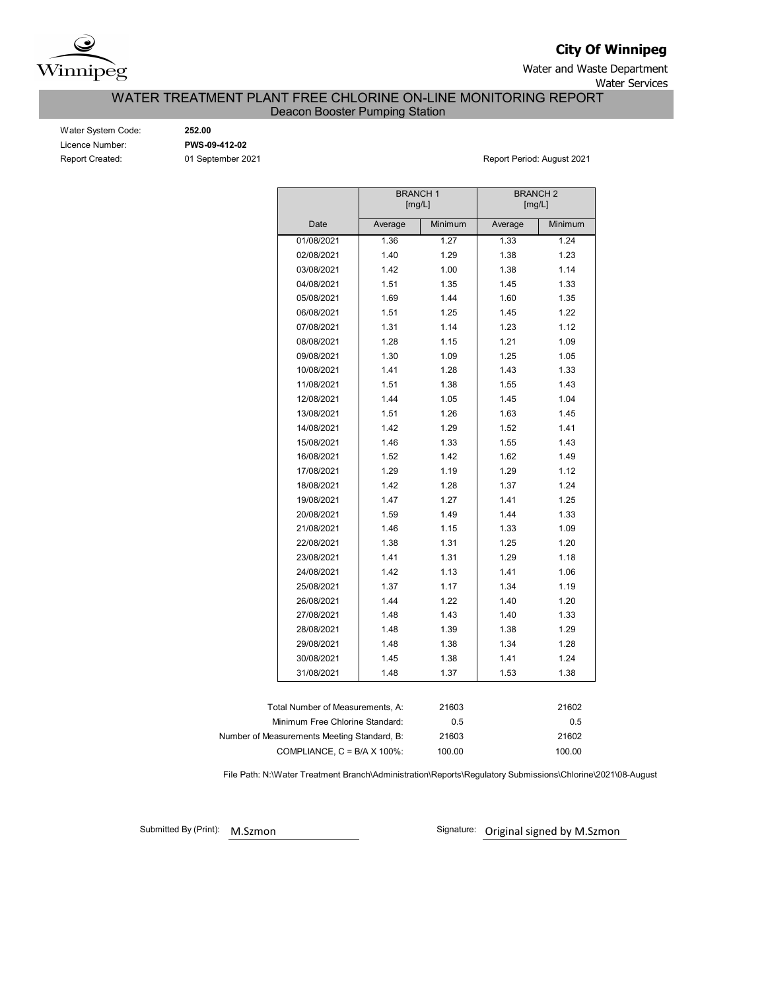

**City Of Winnipeg**

Water and Waste Department Water Services

WATER TREATMENT PLANT FREE CHLORINE ON-LINE MONITORING REPORT

Deacon Booster Pumping Station

| Water System Code: |
|--------------------|
| Licence Number:    |
| Report Created:    |

Water System Code: **252.00** Licence Number: **PWS-09-412-02**

01 September 2021 **Report Period: August 2021** 

|                                             | <b>BRANCH1</b><br>[mg/L] |         |         | <b>BRANCH 2</b><br>[mg/L] |  |  |  |
|---------------------------------------------|--------------------------|---------|---------|---------------------------|--|--|--|
| Date                                        | Average                  | Minimum | Average | Minimum                   |  |  |  |
| 01/08/2021                                  | 1.36                     | 1.27    | 1.33    | 1.24                      |  |  |  |
| 02/08/2021                                  | 1.40                     | 1.29    | 1.38    | 1.23                      |  |  |  |
| 03/08/2021                                  | 1.42                     | 1.00    | 1.38    | 1.14                      |  |  |  |
| 04/08/2021                                  | 1.51                     | 1.35    | 1.45    | 1.33                      |  |  |  |
| 05/08/2021                                  | 1.69                     | 1.44    | 1.60    | 1.35                      |  |  |  |
| 06/08/2021                                  | 1.51                     | 1.25    | 1.45    | 1.22                      |  |  |  |
| 07/08/2021                                  | 1.31                     | 1.14    | 1.23    | 1.12                      |  |  |  |
| 08/08/2021                                  | 1.28                     | 1.15    | 1.21    | 1.09                      |  |  |  |
| 09/08/2021                                  | 1.30                     | 1.09    | 1.25    | 1.05                      |  |  |  |
| 10/08/2021                                  | 1.41                     | 1.28    | 1.43    | 1.33                      |  |  |  |
| 11/08/2021                                  | 1.51                     | 1.38    | 1.55    | 1.43                      |  |  |  |
| 12/08/2021                                  | 1.44                     | 1.05    | 1.45    | 1.04                      |  |  |  |
| 13/08/2021                                  | 1.51                     | 1.26    | 1.63    | 1.45                      |  |  |  |
| 14/08/2021                                  | 1.42                     | 1.29    | 1.52    | 1.41                      |  |  |  |
| 15/08/2021                                  | 1.46                     | 1.33    | 1.55    | 1.43                      |  |  |  |
| 16/08/2021                                  | 1.52                     | 1.42    | 1.62    | 1.49                      |  |  |  |
| 17/08/2021                                  | 1.29                     | 1.19    | 1.29    | 1.12                      |  |  |  |
| 18/08/2021                                  | 1.42                     | 1.28    | 1.37    | 1.24                      |  |  |  |
| 19/08/2021                                  | 1.47                     | 1.27    | 1.41    | 1.25                      |  |  |  |
| 20/08/2021                                  | 1.59                     | 1.49    | 1.44    | 1.33                      |  |  |  |
| 21/08/2021                                  | 1.46                     | 1.15    | 1.33    | 1.09                      |  |  |  |
| 22/08/2021                                  | 1.38                     | 1.31    | 1.25    | 1.20                      |  |  |  |
| 23/08/2021                                  | 1.41                     | 1.31    | 1.29    | 1.18                      |  |  |  |
| 24/08/2021                                  | 1.42                     | 1.13    | 1.41    | 1.06                      |  |  |  |
| 25/08/2021                                  | 1.37                     | 1.17    | 1.34    | 1.19                      |  |  |  |
| 26/08/2021                                  | 1.44                     | 1.22    | 1.40    | 1.20                      |  |  |  |
| 27/08/2021                                  | 1.48                     | 1.43    | 1.40    | 1.33                      |  |  |  |
| 28/08/2021                                  | 1.48                     | 1.39    | 1.38    | 1.29                      |  |  |  |
| 29/08/2021                                  | 1.48                     | 1.38    | 1.34    | 1.28                      |  |  |  |
| 30/08/2021                                  | 1.45                     | 1.38    | 1.41    | 1.24                      |  |  |  |
| 31/08/2021                                  | 1.48                     | 1.37    | 1.53    | 1.38                      |  |  |  |
|                                             |                          |         |         |                           |  |  |  |
| Total Number of Measurements, A:            |                          | 21603   |         | 21602                     |  |  |  |
| Minimum Free Chlorine Standard:             |                          | 0.5     |         | 0.5                       |  |  |  |
| Number of Measurements Meeting Standard, B: |                          | 21603   |         | 21602                     |  |  |  |
| COMPLIANCE, $C = B/A \times 100\%$ :        |                          | 100.00  |         | 100.00                    |  |  |  |

File Path: N:\Water Treatment Branch\Administration\Reports\Regulatory Submissions\Chlorine\2021\08-August

Submitted By (Print): M.Szmon

Signature: Original signed by M.Szmon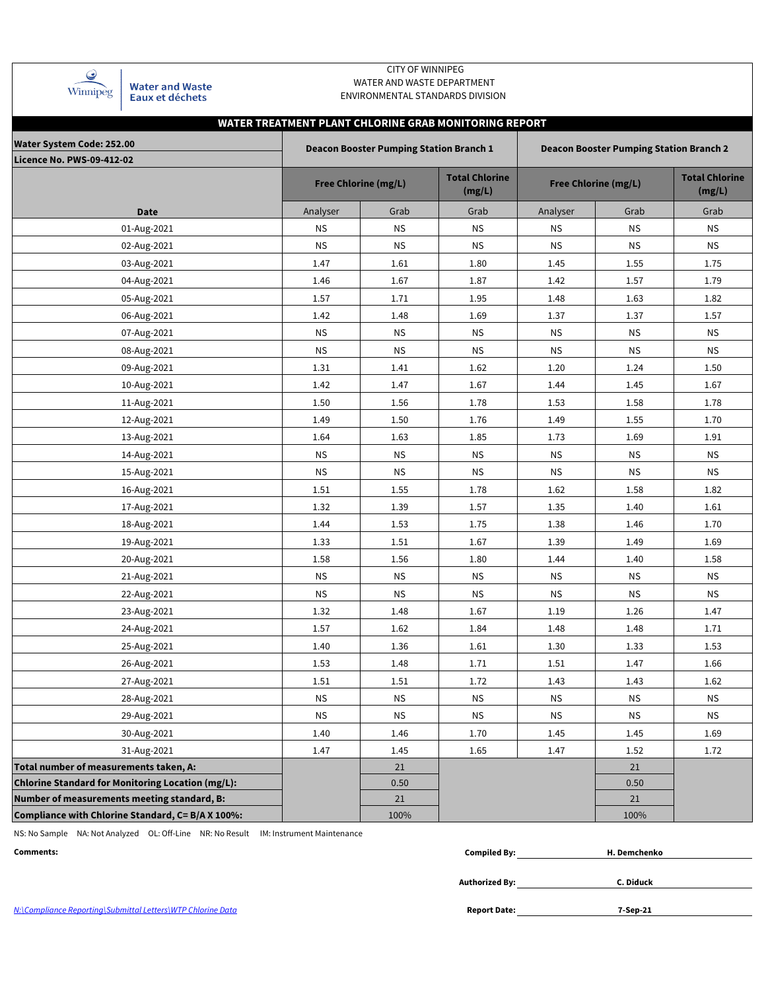| Winnipeg |
|----------|

**Water and Waste** Eaux et déchets

### CITY OF WINNIPEG WATER AND WASTE DEPARTMENT ENVIRONMENTAL STANDARDS DIVISION

# **WATER TREATMENT PLANT CHLORINE GRAB MONITORING REPORT**

| Water System Code: 252.00                                |           | <b>Deacon Booster Pumping Station Branch 1</b> |                                 | <b>Deacon Booster Pumping Station Branch 2</b> |                                 |           |  |  |  |
|----------------------------------------------------------|-----------|------------------------------------------------|---------------------------------|------------------------------------------------|---------------------------------|-----------|--|--|--|
| <b>Licence No. PWS-09-412-02</b>                         |           |                                                |                                 |                                                |                                 |           |  |  |  |
|                                                          |           | <b>Free Chlorine (mg/L)</b>                    | <b>Total Chlorine</b><br>(mg/L) | <b>Free Chlorine (mg/L)</b>                    | <b>Total Chlorine</b><br>(mg/L) |           |  |  |  |
| <b>Date</b>                                              | Analyser  | Grab                                           | Grab                            | Analyser                                       | Grab                            | Grab      |  |  |  |
| 01-Aug-2021                                              | ΝS        | <b>NS</b>                                      | <b>NS</b>                       | <b>NS</b>                                      | <b>NS</b>                       | <b>NS</b> |  |  |  |
| 02-Aug-2021                                              | <b>NS</b> | <b>NS</b>                                      | <b>NS</b>                       | <b>NS</b>                                      | <b>NS</b>                       | <b>NS</b> |  |  |  |
| 03-Aug-2021                                              | 1.47      | 1.61                                           | 1.80                            | 1.45                                           | 1.55                            | 1.75      |  |  |  |
| 04-Aug-2021                                              | 1.46      | 1.67                                           | 1.87                            | 1.42                                           | 1.57                            | 1.79      |  |  |  |
| 05-Aug-2021                                              | 1.57      | 1.71                                           | 1.95                            | 1.48                                           | 1.63                            | 1.82      |  |  |  |
| 06-Aug-2021                                              | 1.42      | 1.48                                           | 1.69                            | 1.37                                           | 1.37                            | 1.57      |  |  |  |
| 07-Aug-2021                                              | <b>NS</b> | <b>NS</b>                                      | <b>NS</b>                       | <b>NS</b>                                      | <b>NS</b>                       | <b>NS</b> |  |  |  |
| 08-Aug-2021                                              | ΝS        | <b>NS</b>                                      | <b>NS</b>                       | <b>NS</b>                                      | <b>NS</b>                       | <b>NS</b> |  |  |  |
| 09-Aug-2021                                              | 1.31      | 1.41                                           | 1.62                            | 1.20                                           | 1.24                            | 1.50      |  |  |  |
| 10-Aug-2021                                              | 1.42      | 1.47                                           | 1.67                            | 1.44                                           | 1.45                            | 1.67      |  |  |  |
| 11-Aug-2021                                              | 1.50      | 1.56                                           | 1.78                            | 1.53                                           | 1.58                            | 1.78      |  |  |  |
| 12-Aug-2021                                              | 1.49      | 1.50                                           | 1.76                            | 1.49                                           | 1.55                            | 1.70      |  |  |  |
| 13-Aug-2021                                              | 1.64      | 1.63                                           | 1.85                            | 1.73                                           | 1.69                            | 1.91      |  |  |  |
| 14-Aug-2021                                              | <b>NS</b> | <b>NS</b>                                      | <b>NS</b>                       | <b>NS</b>                                      | <b>NS</b>                       | <b>NS</b> |  |  |  |
| 15-Aug-2021                                              | <b>NS</b> | <b>NS</b>                                      | <b>NS</b>                       | <b>NS</b>                                      | <b>NS</b>                       | <b>NS</b> |  |  |  |
| 16-Aug-2021                                              | 1.51      | 1.55                                           | 1.78                            | 1.62                                           | 1.58                            | 1.82      |  |  |  |
| 17-Aug-2021                                              | 1.32      | 1.39                                           | 1.57                            | 1.35                                           | 1.40                            | 1.61      |  |  |  |
| 18-Aug-2021                                              | 1.44      | 1.53                                           | 1.75                            | 1.38                                           | 1.46                            | 1.70      |  |  |  |
| 19-Aug-2021                                              | 1.33      | 1.51                                           | 1.67                            | 1.39                                           | 1.49                            | 1.69      |  |  |  |
| 20-Aug-2021                                              | 1.58      | 1.56                                           | 1.80                            | 1.44                                           | 1.40                            | 1.58      |  |  |  |
| 21-Aug-2021                                              | <b>NS</b> | <b>NS</b>                                      | <b>NS</b>                       | <b>NS</b>                                      | <b>NS</b>                       | <b>NS</b> |  |  |  |
| 22-Aug-2021                                              | <b>NS</b> | <b>NS</b>                                      | <b>NS</b>                       | <b>NS</b>                                      | <b>NS</b>                       | <b>NS</b> |  |  |  |
| 23-Aug-2021                                              | 1.32      | 1.48                                           | 1.67                            | 1.19                                           | 1.26                            | 1.47      |  |  |  |
| 24-Aug-2021                                              | 1.57      | 1.62                                           | 1.84                            | 1.48                                           | 1.48                            | 1.71      |  |  |  |
| 25-Aug-2021                                              | 1.40      | 1.36                                           | 1.61                            | 1.30                                           | 1.33                            | 1.53      |  |  |  |
| 26-Aug-2021                                              | 1.53      | 1.48                                           | 1.71                            | 1.51                                           | 1.47                            | 1.66      |  |  |  |
| 27-Aug-2021                                              | 1.51      | 1.51                                           | 1.72                            | 1.43                                           | 1.43                            | 1.62      |  |  |  |
| 28-Aug-2021                                              | <b>NS</b> | <b>NS</b>                                      | <b>NS</b>                       | <b>NS</b>                                      | <b>NS</b>                       | <b>NS</b> |  |  |  |
| 29-Aug-2021                                              | <b>NS</b> | <b>NS</b>                                      | <b>NS</b>                       | <b>NS</b>                                      | <b>NS</b>                       | <b>NS</b> |  |  |  |
| 30-Aug-2021                                              | 1.40      | 1.46                                           | 1.70                            | 1.45                                           | 1.45                            | 1.69      |  |  |  |
| 31-Aug-2021                                              | 1.47      | 1.45                                           | 1.65                            | 1.47                                           | 1.52                            | 1.72      |  |  |  |
| Total number of measurements taken, A:                   |           | 21                                             |                                 |                                                | 21                              |           |  |  |  |
| <b>Chlorine Standard for Monitoring Location (mg/L):</b> |           | 0.50                                           |                                 |                                                | 0.50                            |           |  |  |  |
| Number of measurements meeting standard, B:              |           | 21                                             |                                 |                                                | 21                              |           |  |  |  |
| Compliance with Chlorine Standard, C= B/A X 100%:        |           | 100%                                           |                                 |                                                | 100%                            |           |  |  |  |

NS: No Sample NA: Not Analyzed OL: Off-Line NR: No Result IM: Instrument Maintenance

| __<br>Comments: | <br>niled Rv• | . Demchenko |
|-----------------|---------------|-------------|
|                 |               |             |

**Authorized By:**

**C. Diduck**

**7-Sep-21**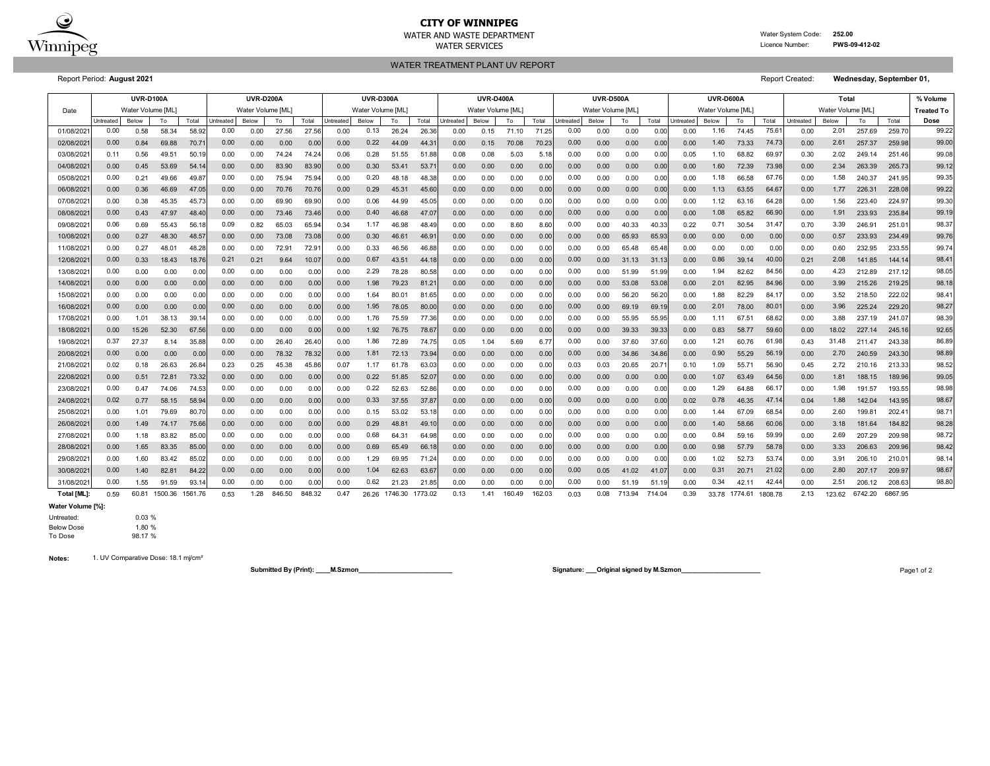

# **CITY OF WINNIPEG**

WATER SERVICES Licence Number: **PWS-09-412-02**

WATER AND WASTE DEPARTMENT **WATER AND WAS TED STATES AND WATER AND WATER AND WATER AND WASTE DEPARTMENT** 

WATER TREATMENT PLANT UV REPORT

Report Period: **August 2021** Report Created: **Wednesday, September 01,** 

Date Below | To | Total |Untreated Below | To | Total |Untreated Below | To | Total |Untreated | Below | To | Total Untreated | Below | To | Total Total Total Untreated Below | To | Total IUntreated Below | To | Total IUntreate 01/08/2021 0.00 0.58 58.34 58.92 0.00 0.00 27.56 27.56 0.00 0.13 26.24 26.36 0.00 0.15 71.10 71.25 0.00 0.00 0.00 0.00 0.00 1.16 74.45 75.61 0.00 2.01 257.69 259.70 02/08/2021 0.84 69.88 70.71 0.00 0.00 0.00 0.00 44.09 44.31 0.00 0.15 70.08 70.23 0.00 0.00 0.00 0.00 73.33 0.00 257.37 259.98 03/08/2021 0.11 0.56 49.51 50.19 0.00 0.00 74.24 74.24 0.06 0.28 51.55 51.88 0.08 0.08 5.03 5.18 0.00 0.00 0.00 0.00 0.05 1.10 68.82 69.97 0.30 2.02 249.14 251.46 04/08/2021 0.45 53.69 54.14 0.00 83.90 83.90 0.00 53.41 53.71 0.00 0.00 0.00 0.00 0.00 0.00 0.00 0.00 72.39 0.00 263.39 265.73 05/08/2021 0.21 49.66 49.87 0.00 75.94 75.94 0.00 48.18 48.38 0.00 0.00 0.00 0.00 0.00 0.00 0.00 0.00 66.58 0.00 240.37 241.95 06/08/2021 0.36 46.69 47.05 0.00 70.76 70.76 0.00 45.31 45.60 0.00 0.00 0.00 0.00 0.00 0.00 0.00 0.00 63.55 0.00 226.31 228.08 07/08/2021 0.38 45.35 45.73 0.00 69.90 69.90 0.00 44.99 45.05 0.00 0.00 0.00 0.00 0.00 0.00 0.00 0.00 63.16 0.00 223.40 224.97 08/08/2021 0.43 47.97 48.40 0.00 73.46 73.46 0.00 46.68 47.07 0.00 0.00 0.00 0.00 0.00 0.00 0.00 0.00 65.82 0.00 233.93 235.84 09/08/2021| 0.06 0.69 55.43 56.18| 0.09 0.82 65.03 65.94| 0.34 1.17 46.98 48.49| 0.00 0.00 8.60 8.60| 0.00 0.00 40.33 40.33| 0.22 0.71 30.54 31.47| 0.70 3.39 246.91 251.01 10/08/2021 0.27 48.30 48.57 0.00 73.08 73.08 0.00 46.61 46.91 0.00 0.00 0.00 0.00 0.00 65.93 65.93 0.00 0.00 0.00 233.93 234.49 11/08/2021 0.27 48.01 48.28 0.00 72.91 72.91 0.00 46.56 46.88 0.00 0.00 0.00 0.00 0.00 65.48 65.48 0.00 0.00 0.00 232.95 233.55 12/08/2021 0.33 18.43 18.76 0.21 9.64 10.07 0.00 43.51 44.18 0.00 0.00 0.00 0.00 0.00 31.13 31.13 0.00 39.14 0.21 141.85 144.14 13/08/2021 0.00 0.00 0.00 0.00 0.00 0.00 0.00 78.28 80.58 0.00 0.00 0.00 0.00 0.00 51.99 51.99 0.00 82.62 0.00 212.89 217.12 14/08/2021 0.00 0.00 0.00 0.00 0.00 0.00 0.00 79.23 81.21 0.00 0.00 0.00 0.00 0.00 53.08 53.08 0.00 82.95 0.00 215.26 219.25 15/08/2021 0.00 0.00 0.00 0.00 0.00 0.00 0.00 80.01 81.65 0.00 0.00 0.00 0.00 0.00 56.20 56.20 0.00 82.29 0.00 218.50 222.02 16/08/2021 0.00 0.00 0.00 0.00 0.00 0.00 0.00 78.05 80.00 0.00 0.00 0.00 0.00 0.00 69.19 69.19 0.00 78.00 0.00 225.24 229.20 17/08/2021| 0.00 1.01 38.13 39.14| 0.00 0.00 0.00 0.00 0.00 1.76 75.59 77.36| 0.00 0.00 0.00 0.00 0.00 0.00 55.95 55.95| 0.00 1.11 67.51 68.62| 0.00 3.88 237.19 241.07 18/08/2021 15.26 52.30 67.56 0.00 0.00 0.00 0.00 76.75 78.67 0.00 0.00 0.00 0.00 0.00 39.33 39.33 0.00 58.77 0.00 227.14 245.16 19/08/2021 27.37 8.14 35.88 0.00 26.40 26.40 0.00 72.89 74.75 0.05 1.04 5.69 6.77 0.00 37.60 37.60 0.00 60.76 0.43 211.47 243.38 20/08/2021 0.00 0.00 0.00 0.00 78.32 78.32 0.00 72.13 73.94 0.00 0.00 0.00 0.00 0.00 34.86 34.86 0.00 55.29 0.00 240.59 243.30 21/08/2021 0.18 26.63 26.84 0.25 45.38 45.86 0.07 61.78 63.03 0.00 0.00 0.00 0.00 0.03 20.65 20.71 0.10 55.71 0.45 210.16 213.33 22/08/2021| 0.00 0.51 72.81 73.32| 0.00 0.00 0.00 0.00 0.00 0.22 51.85 52.07| 0.00 0.00 0.00 0.00| 0.00 0.00| 0.00 0.00| 0.00 1.07 63.49 64.56| 0.00 1.81 188.15 189.96 23/08/2021 0.47 74.06 74.53 0.00 0.00 0.00 0.00 52.63 52.86 0.00 0.00 0.00 0.00 0.00 0.00 0.00 0.00 64.88 0.00 191.57 193.55 24/08/2021 0.77 58.15 58.94 0.00 0.00 0.00 0.00 37.55 37.87 0.00 0.00 0.00 0.00 0.00 0.00 0.00 0.02 46.35 0.04 142.04 143.95 25/08/2021 1.01 79.69 80.70 0.00 0.00 0.00 0.00 53.02 53.18 0.00 0.00 0.00 0.00 0.00 0.00 0.00 0.00 67.09 0.00 199.81 202.41 26/08/2021 1.49 74.17 75.66 0.00 0.00 0.00 0.00 48.81 49.10 0.00 0.00 0.00 0.00 0.00 0.00 0.00 0.00 58.66 0.00 181.64 184.82 27/08/2021 1.18 83.82 85.00 0.00 0.00 0.00 0.00 64.31 64.98 0.00 0.00 0.00 0.00 0.00 0.00 0.00 0.00 59.16 0.00 207.29 209.98 28/08/2021 1.65 83.35 85.00 0.00 0.00 0.00 0.00 65.49 66.18 0.00 0.00 0.00 0.00 0.00 0.00 0.00 0.00 57.79 0.00 206.63 209.96 29/08/2021 1.60 83.42 85.02 0.00 0.00 0.00 0.00 69.95 71.24 0.00 0.00 0.00 0.00 0.00 0.00 0.00 0.00 52.73 0.00 206.10 210.01 30/08/2021 0.00 1.40 82.81 84.22 0.00 0.00 0.00 0.00 0.00 1.04 62.63 63.67 0.00 0.00 0.00 0.00 0.00 0.05 41.02 41.07 0.00 0.31 20.71 21.02 0.00 2.80 207.17 209.97 31/08/2021 1.55 91.59 93.14 0.00 0.00 0.00 0.00 21.23 21.85 0.00 0.00 0.00 0.00 0.00 51.19 51.19 0.00 42.11 0.00 206.12 208.63 21.02 0.00 2.80 207.17 209.97 98.67 0.00 1.55 91.59 93.14 0.00 0.00 0.00 0.00 0.00 0.02 21.23 21.85 0.00 0.00 0.00 0.00 0.00 0.00 51.19 0.00 0.34 42.11 42.44 0.00 2.51 206.62 98.80 98.80 0.00 1.40 82.81 84.22 0.00 0.00 0.00 0.00 1.04 62.63 63.67 0.00 0.00 0.00 0.00 0.00 0.05 41.02 41.07 0.00 0.31 58.78 0.00 3.33 206.63 209.96 98.42 0.00 0.00 1.29 0.00 1.02 53.74 3.91 98.14 0.00 1.65 83.35 85.00 0.00 0.00 0.00 0.00 0.00 0.69 65.49 66.18 0.00 0.00 0.00 0.00 0.00 0.00 0.00 0.00 0.00 0.98 60.06 3.18 98.28 0.00 0.00 0.68 0.00 0.84 59.99 2.69 98.72 0.00 0.00 0.29 0.00 1.40 47.14 0.04 1.88 142.04 143.95 98.67 0.00 0.00 0.15 0.00 1.44 68.54 2.60 98.71 0.02 0.77 58.15 58.94| 0.00 0.00 0.00 0.00| 0.00 0.33 37.55 37.87| 0.00 0.00 0.00 0.00| 0.00 0.00 0.00| 0.02 0.78 64.56 0.00 1.81 188.15 189.96 99.05 0.00 0.47 74.06 74.53| 0.00 0.00 0.00 0.00| 0.00 0.22 52.63 52.86| 0.00 0.00 0.00 0.00| 0.00 0.00| 0.00 0.00| 0.00 1.29 64.88 66.17| 0.00 1.98 191.57 193.55| 98.98 0.00 0.00 0.22 0.00 1.07 56.19 2.70 98.89 0.02 0.18 26.63 26.84 0.23 0.25 45.38 45.86 0.07 1.17 61.78 63.03 0.00 0.00 0.00 0.00 0.00 0.03 20.65 20.71 0.10 1.09 55.71 56.90 0.45 2.72 210.16 213.33 98.52 0.00 0.00 0.00 0.00 0.00 0.00 78.32 78.32| 0.00 1.81 72.13 73.94| 0.00 0.00 0.00 0.00| 0.00 0.00 34.86 34.86| 0.00 0.90 59.60 0.00 18.02 227.14 245.16 92.65 0.37 27.37 8.14 35.88| 0.00 0.00 26.40 26.40| 0.00 1.86 72.89 74.75| 0.05 1.04 5.69 6.77| 0.00 0.00 37.60| 0.00 1.21 60.76 61.98| 0.43 31.48 211.47 243.38| 86.89 0.00 15.26 52.30 67.56| 0.00 0.00 0.00 0.00| 0.00 1.92 76.75 78.67| 0.00 0.00 0.00 0.00| 0.00 0.00 39.33 39.33| 0.00 0.83 80.01 0.00 3.96 225.24 229.20 98.27 0.00 1.01 38.13 39.14 0.00 0.00 0.00 0.00 0.00 1.76 75.59 77.36 0.00 0.00 0.00 0.00 0.00 0.00 55.95 55.95 0.00 1.11 67.51 68.62 0.00 3.88 237.19 241.07 98.39 0.00 0.00 1.95 0.00 2.01 84.96 0.00 3.99 215.26 219.25 98.1 0.00 0.00 0.00 0.00 0.00 0.00 0.00 0.00 1.64 80.01 81.65 0.00 0.00 0.00 0.00 0.00 0.00 56.20 56.20 50.00 1.88 82.29 84.17 0.00 3.52 218.50 222.02 98.41 0.00 0.00 0.00 0.00 0.00 0.00 0.00 0.00 0.00 1.98 79.23 81.21 0.00 0.00 0.00 0.00 0.00 0.00 53.08 53.08 0.00 2.01 40.00 0.21 2.08 141.85 144.14 98.4 0.00 0.00 0.00 0.00 0.00 0.00 0.00 0.00 2.29 78.28 80.58 0.00 0.00 0.00 0.00 0.00 0.00 51.99 51.99 0.00 1.94 82.62 84.56 0.00 4.23 212.89 217.12 98.05 0.00 0.33 18.43 18.76 0.21 0.21 9.64 10.07 0.00 0.67 43.51 44.18 0.00 0.00 0.00 0.00 0.00 0.00 31.13 31.13 0.00 0.86 0.00 0.00 0.57 233.93 234.49 99.76 0.00 0.27 48.01 48.28 0.00 0.00 72.91 72.91 0.00 0.33 46.56 46.88 0.00 0.00 0.00 0.00 0.00 0.00 65.48 65.48 0.00 0.00 0.00 0.00 0.00 0.00 0.232.95 233.55 99.74 0.00 0.27 48.30 48.57| 0.00 0.00 73.08 73.08| 0.00 0.30 46.61 46.91| 0.00 0.00 0.00 0.00| 0.00 0.00 65.93 65.93| 0.00 0.00 66.90 0.00 1.91 233.93 235.84 99.19 0.06 0.69 55.43 56.18| 0.09 0.82 65.03 65.94| 0.34 1.17 46.98 48.49| 0.00 0.00 8.60 8.60| 0.00 0.00 40.33 40.33| 0.22 0.71 30.54 31.47| 0.70 3.39 246.91 251.01| 98.37 0.00 0.00 0.40 0.00 1.08 64.67 0.00 1.77 226.31 228.08 99.22 0.00 0.00 0.06 0.00 1.12 64.28 1.56 99.30 0.00 0.00 0.29 0.00 1.13 73.98 0.00 2.34 263.39 265.73 99.1 0.00 0.00 0.20 0.00 1.18 67.76 1.58 99.35 0.00 0.45 53.69 54.14| 0.00 0.00 83.90 83.90| 0.00 0.30 53.41 53.71| 0.00 0.00 0.00 0.00| 0.00 0.00 0.00| 0.00 0.00| 0.00 1.60 74.73 0.00 2.61 257.37 259.98 99.0 0.11 0.56 49.51 50.19 0.00 0.00 74.24 74.24 0.06 0.28 51.55 51.88 0.08 0.08 5.03 5.18 0.00 0.00 0.00 0.00 0.05 1.10 68.82 69.97 0.30 2.02 249.14 251.46 99.08 0.00 0.84 69.88 70.71| 0.00 0.00 0.00 0.00| 0.00 0.22 44.09 44.31| 0.00 0.15 70.08 70.23| 0.00 0.00 0.00 0.00| 0.00 1.40 Total Untreated Below **To Total Dose** 0.00 0.58 58.34 58.92 0.00 0.00 27.56 27.56 0.00 0.13 26.24 26.36 0.00 0.15 71.10 71.25 0.00 0.00 0.00 0.00 0.00 1.16 74.45 75.61 0.00 2.01 257.69 259.70 99.22 Untreated Below To Total Untreated Below To Total Untreated Below To Total Untreated Below To Total Untreated Below To Total Untreated Below To Total Untreated Below **UVR-D600A Total % Volume** Water Volume [ML] Water Volume [ML] Water Volume [ML] Water Volume [ML] Water Volume [ML] Water Volume [ML] Water Volume [ML] **Treated To UVR-D100A UVR-D200A UVR-D300A UVR-D400A UVR-D500A**

**Total [ML]:** 60.81 1500.36 1561.76 1.28 846.50 848.32 0.47 1746.30 1773.02 0.13 1.41 160.49 162.03 0.08 713.94 714.04 0.39 1774.61 2.13 6742.20 6867.95 1808.78 123.62 0.59 60.81 1500.36 1561.76 0.53 1.28 846.50 848.32 0.47 26.26 1746.30 1773.02 0.13 1.41 160.49 162.03 0.03 0.08 713.94 714.04 0.39 33.78

#### **Water Volume [%]:**

Untreated: 0.03 % Below Dose 1.80 %<br>To Dose 98.17 % To Dose

**Notes:** 1. UV Comparative Dose: 18.1 mj/cm²

**Submitted By (Print): \_\_\_\_M.Szmon\_\_\_\_\_\_\_\_\_\_\_\_\_\_\_\_\_\_\_\_\_\_\_\_\_\_ Signature: \_\_\_Original signed by M.Szmon\_\_\_\_\_\_\_\_\_\_\_\_\_\_\_\_\_\_\_\_\_\_** Page1 of 2